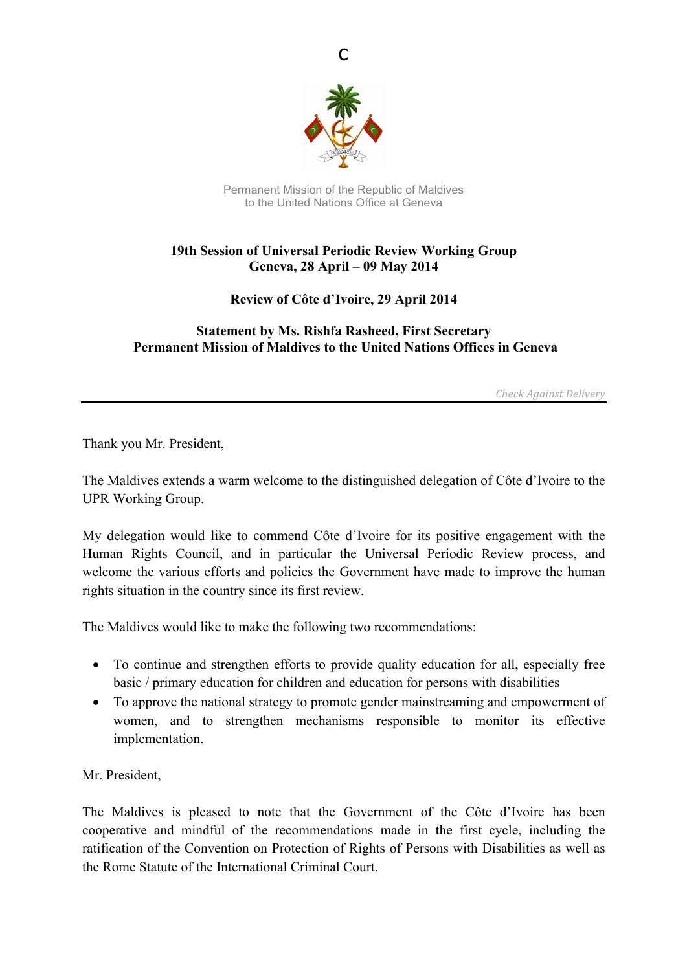

c

Permanent Mission of the Republic of Maldives to the United Nations Office at Geneva

## **19th Session of Universal Periodic Review Working Group Geneva, 28 April – 09 May 2014**

## **Review of Côte d'Ivoire, 29 April 2014**

## **Statement by Ms. Rishfa Rasheed, First Secretary Permanent Mission of Maldives to the United Nations Offices in Geneva**

*Check Against Delivery*

Thank you Mr. President,

The Maldives extends a warm welcome to the distinguished delegation of Côte d'Ivoire to the UPR Working Group.

My delegation would like to commend Côte d'Ivoire for its positive engagement with the Human Rights Council, and in particular the Universal Periodic Review process, and welcome the various efforts and policies the Government have made to improve the human rights situation in the country since its first review.

The Maldives would like to make the following two recommendations:

- To continue and strengthen efforts to provide quality education for all, especially free basic / primary education for children and education for persons with disabilities
- To approve the national strategy to promote gender mainstreaming and empowerment of women, and to strengthen mechanisms responsible to monitor its effective implementation.

Mr. President,

The Maldives is pleased to note that the Government of the Côte d'Ivoire has been cooperative and mindful of the recommendations made in the first cycle, including the ratification of the Convention on Protection of Rights of Persons with Disabilities as well as the Rome Statute of the International Criminal Court.